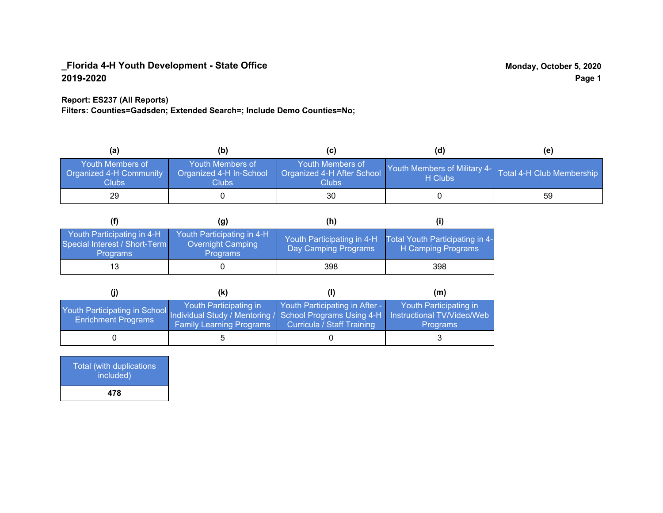#### **Report: ES237 (All Reports)**

**Filters: Counties=Gadsden; Extended Search=; Include Demo Counties=No;**

| (a)                                                                | (b)                                                   | (C)                                                       | (d)                                                               | (e) |
|--------------------------------------------------------------------|-------------------------------------------------------|-----------------------------------------------------------|-------------------------------------------------------------------|-----|
| <b>Youth Members of</b><br><b>Organized 4-H Community</b><br>Clubs | Youth Members of<br>Organized 4-H In-School<br>Clubs: | Youth Members of<br>Organized 4-H After School<br>Clubs : | Youth Members of Military 4- Total 4-H Club Membership<br>H Clubs |     |
| 29                                                                 |                                                       | 30                                                        |                                                                   | 59  |

|                                                                                | (g)                                                                | (h)                                                |                                                       |
|--------------------------------------------------------------------------------|--------------------------------------------------------------------|----------------------------------------------------|-------------------------------------------------------|
| Youth Participating in 4-H<br>Special Interest / Short-Term<br><b>Programs</b> | Youth Participating in 4-H<br>Overnight Camping<br><b>Programs</b> | Youth Participating in 4-H<br>Day Camping Programs | Total Youth Participating in 4-<br>H Camping Programs |
| 13                                                                             |                                                                    | 398                                                | 398                                                   |

|                                                                                                                                                 | (k)                                                       |                                                              | (m)                                       |
|-------------------------------------------------------------------------------------------------------------------------------------------------|-----------------------------------------------------------|--------------------------------------------------------------|-------------------------------------------|
| Youth Participating in School Individual Study / Mentoring / School Programs Using 4-H Instructional TV/Video/Web<br><b>Enrichment Programs</b> | Youth Participating in<br><b>Family Learning Programs</b> | Youth Participating in After -<br>Curricula / Staff Training | Youth Participating in<br><b>Programs</b> |
|                                                                                                                                                 |                                                           |                                                              |                                           |

| <b>Total (with duplications)</b><br>included) |  |
|-----------------------------------------------|--|
| 478                                           |  |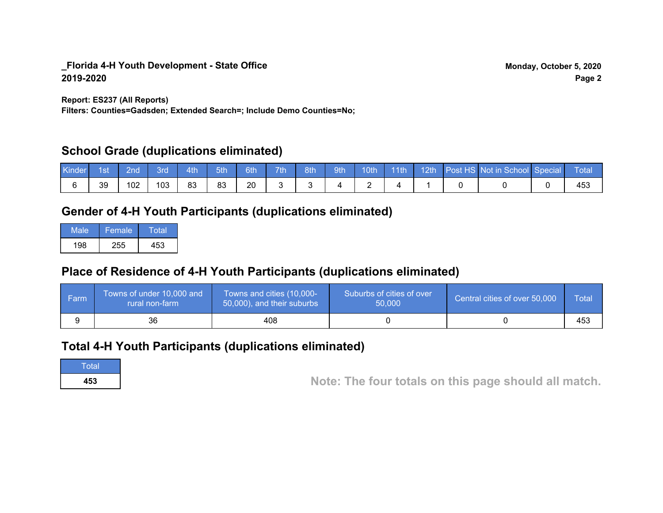**Report: ES237 (All Reports)**

**Filters: Counties=Gadsden; Extended Search=; Include Demo Counties=No;**

## **School Grade (duplications eliminated)**

| Kinder | 1st | 2nd | Brd | 4th | 5th | 6th | 7th | 8th | 9th | 10th | $\vert$ 11th | $\sqrt{12th}$ | Post HS Not in School Special | Total |
|--------|-----|-----|-----|-----|-----|-----|-----|-----|-----|------|--------------|---------------|-------------------------------|-------|
|        | 39  | 02  | 103 | 83  | 83  | 20  |     |     |     |      |              |               |                               | 453   |

# **Gender of 4-H Youth Participants (duplications eliminated)**

| Male | 'Female, | Total |
|------|----------|-------|
| 198  | 255      | 453   |

# **Place of Residence of 4-H Youth Participants (duplications eliminated)**

| ∣ Farm | Towns of under 10,000 and<br>rural non-farm | Towns and cities (10,000-<br>50,000), and their suburbs | Suburbs of cities of over<br>50,000 | Central cities of over 50,000 | Total |
|--------|---------------------------------------------|---------------------------------------------------------|-------------------------------------|-------------------------------|-------|
|        | 36                                          | 408                                                     |                                     |                               | 453   |

## **Total 4-H Youth Participants (duplications eliminated)**

**Total** 

**<sup>453</sup> Note: The four totals on this page should all match.**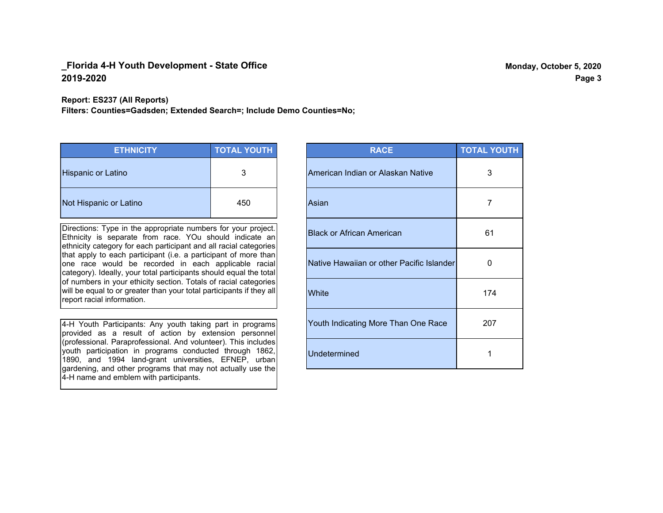**Report: ES237 (All Reports)**

**Filters: Counties=Gadsden; Extended Search=; Include Demo Counties=No;**

| <b>ETHNICITY</b>          | <b>TOTAL YOUTH</b> |
|---------------------------|--------------------|
| <b>Hispanic or Latino</b> | 3                  |
| Not Hispanic or Latino    | 450                |

Directions: Type in the appropriate numbers for your project. Ethnicity is separate from race. YOu should indicate an ethnicity category for each participant and all racial categories that apply to each participant (i.e. a participant of more than one race would be recorded in each applicable racial category). Ideally, your total participants should equal the total of numbers in your ethicity section. Totals of racial categories will be equal to or greater than your total participants if they all report racial information.

4-H Youth Participants: Any youth taking part in programs provided as a result of action by extension personnel (professional. Paraprofessional. And volunteer). This includes youth participation in programs conducted through 1862, 1890, and 1994 land-grant universities, EFNEP, urban gardening, and other programs that may not actually use the 4-H name and emblem with participants.

| <b>RACE</b>                               | <b>TOTAL YOUTH</b> |
|-------------------------------------------|--------------------|
| American Indian or Alaskan Native         | 3                  |
| Asian                                     | 7                  |
| <b>Black or African American</b>          | 61                 |
| Native Hawaiian or other Pacific Islander | 0                  |
| White                                     | 174                |
| Youth Indicating More Than One Race       | 207                |
| <b>Undetermined</b>                       | 1                  |

**Page 3**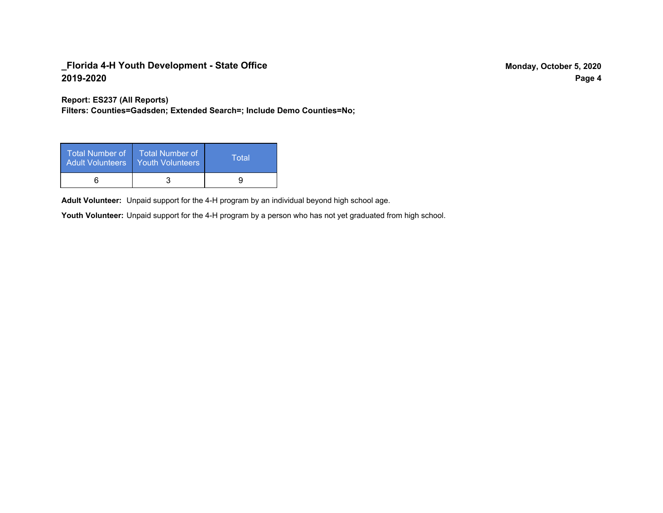**Report: ES237 (All Reports)**

**Filters: Counties=Gadsden; Extended Search=; Include Demo Counties=No;**

| Total Number of<br><b>Adult Volunteers</b> | <b>Total Number of</b><br>Youth Volunteers | Total |
|--------------------------------------------|--------------------------------------------|-------|
|                                            |                                            |       |

Adult Volunteer: Unpaid support for the 4-H program by an individual beyond high school age.

Youth Volunteer: Unpaid support for the 4-H program by a person who has not yet graduated from high school.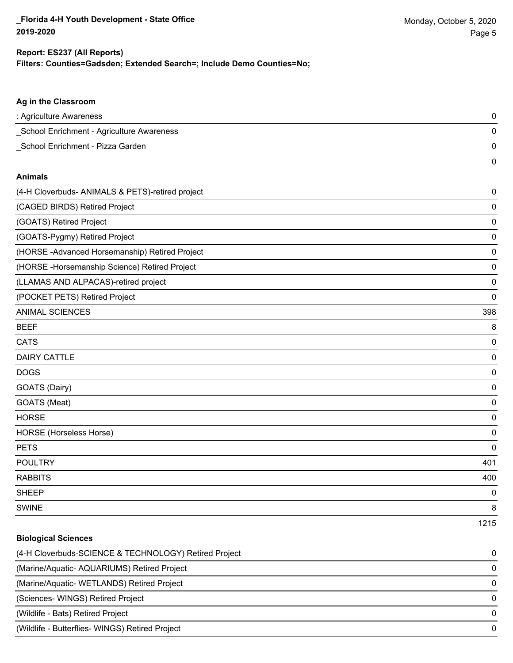#### **Filters: Counties=Gadsden; Extended Search=; Include Demo Counties=No; Report: ES237 (All Reports)**

| Ag in the Classroom                              |      |
|--------------------------------------------------|------|
| : Agriculture Awareness                          | 0    |
| _School Enrichment - Agriculture Awareness       | 0    |
| School Enrichment - Pizza Garden                 | 0    |
|                                                  | 0    |
| <b>Animals</b>                                   |      |
| (4-H Cloverbuds- ANIMALS & PETS)-retired project | 0    |
| (CAGED BIRDS) Retired Project                    | 0    |
| (GOATS) Retired Project                          | 0    |
| (GOATS-Pygmy) Retired Project                    | 0    |
| (HORSE -Advanced Horsemanship) Retired Project   | 0    |
| (HORSE-Horsemanship Science) Retired Project     | 0    |
| (LLAMAS AND ALPACAS)-retired project             | 0    |
| (POCKET PETS) Retired Project                    | 0    |
| <b>ANIMAL SCIENCES</b>                           | 398  |
| <b>BEEF</b>                                      | 8    |
| <b>CATS</b>                                      | 0    |
| <b>DAIRY CATTLE</b>                              | 0    |
| <b>DOGS</b>                                      | 0    |
| GOATS (Dairy)                                    | 0    |
| GOATS (Meat)                                     | 0    |
| <b>HORSE</b>                                     | 0    |
| HORSE (Horseless Horse)                          | 0    |
| <b>PETS</b>                                      | 0    |
| <b>POULTRY</b>                                   | 401  |
| <b>RABBITS</b>                                   | 400  |
| <b>SHEEP</b>                                     | 0    |
| <b>SWINE</b>                                     | 8    |
|                                                  | 1215 |

| <b>Biological Sciences</b>                            |          |
|-------------------------------------------------------|----------|
| (4-H Cloverbuds-SCIENCE & TECHNOLOGY) Retired Project | $\Omega$ |
| (Marine/Aquatic-AQUARIUMS) Retired Project            | 0        |
| (Marine/Aquatic- WETLANDS) Retired Project            | $\Omega$ |
| (Sciences-WINGS) Retired Project                      | $\Omega$ |
| (Wildlife - Bats) Retired Project                     | $\Omega$ |
| (Wildlife - Butterflies- WINGS) Retired Project       | $\Omega$ |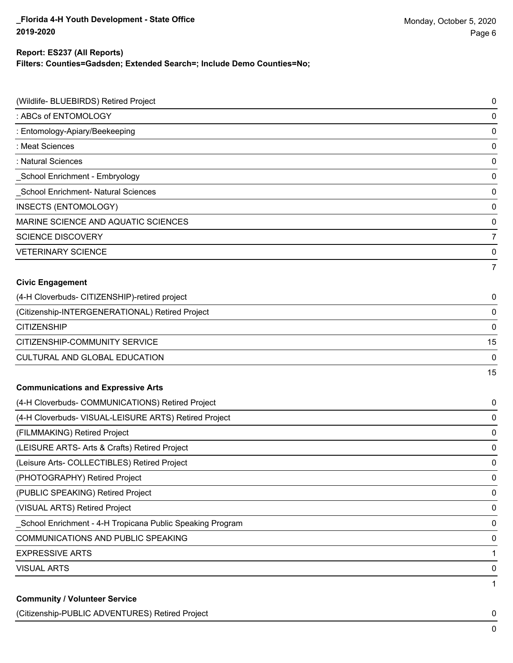#### **Report: ES237 (All Reports)**

**Filters: Counties=Gadsden; Extended Search=; Include Demo Counties=No;**

| (Wildlife- BLUEBIRDS) Retired Project                      | 0           |
|------------------------------------------------------------|-------------|
| : ABCs of ENTOMOLOGY                                       | 0           |
| : Entomology-Apiary/Beekeeping                             | 0           |
| : Meat Sciences                                            | 0           |
| : Natural Sciences                                         | 0           |
| School Enrichment - Embryology                             | 0           |
| School Enrichment- Natural Sciences                        | 0           |
| INSECTS (ENTOMOLOGY)                                       | 0           |
| MARINE SCIENCE AND AQUATIC SCIENCES                        | 0           |
| <b>SCIENCE DISCOVERY</b>                                   | 7           |
| <b>VETERINARY SCIENCE</b>                                  | 0           |
|                                                            | 7           |
| <b>Civic Engagement</b>                                    |             |
| (4-H Cloverbuds- CITIZENSHIP)-retired project              | 0           |
| (Citizenship-INTERGENERATIONAL) Retired Project            | 0           |
| <b>CITIZENSHIP</b>                                         | 0           |
| CITIZENSHIP-COMMUNITY SERVICE                              | 15          |
| CULTURAL AND GLOBAL EDUCATION                              | 0           |
|                                                            | 15          |
| <b>Communications and Expressive Arts</b>                  |             |
| (4-H Cloverbuds- COMMUNICATIONS) Retired Project           | 0           |
| (4-H Cloverbuds- VISUAL-LEISURE ARTS) Retired Project      | 0           |
| (FILMMAKING) Retired Project                               | 0           |
| (LEISURE ARTS- Arts & Crafts) Retired Project              | 0           |
| (Leisure Arts- COLLECTIBLES) Retired Project               | $\mathbf 0$ |
| (PHOTOGRAPHY) Retired Project                              | 0           |
| (PUBLIC SPEAKING) Retired Project                          | 0           |
| (VISUAL ARTS) Retired Project                              | 0           |
| _School Enrichment - 4-H Tropicana Public Speaking Program | 0           |
| <b>COMMUNICATIONS AND PUBLIC SPEAKING</b>                  | 0           |
| <b>EXPRESSIVE ARTS</b>                                     | 1           |
| <b>VISUAL ARTS</b>                                         | 0           |
| <b>Community / Volunteer Service</b>                       | 1           |

(Citizenship-PUBLIC ADVENTURES) Retired Project 0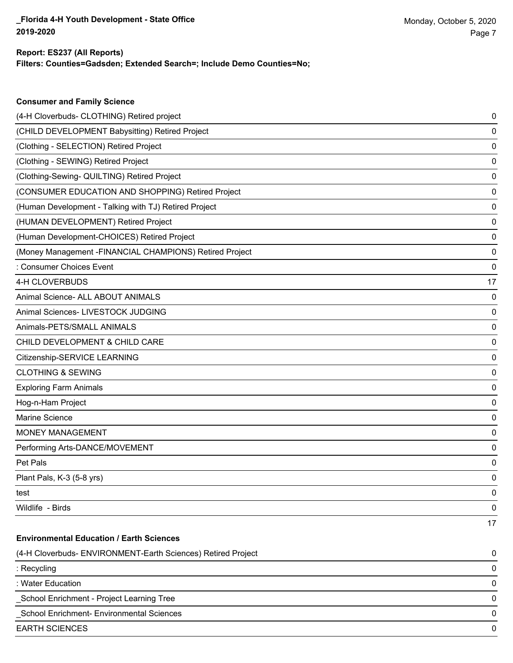**Consumer and Family Science**

#### **Filters: Counties=Gadsden; Extended Search=; Include Demo Counties=No; Report: ES237 (All Reports)**

| (4-H Cloverbuds- CLOTHING) Retired project                   | 0  |
|--------------------------------------------------------------|----|
| (CHILD DEVELOPMENT Babysitting) Retired Project              | 0  |
| (Clothing - SELECTION) Retired Project                       | 0  |
| (Clothing - SEWING) Retired Project                          | 0  |
| (Clothing-Sewing- QUILTING) Retired Project                  | 0  |
| (CONSUMER EDUCATION AND SHOPPING) Retired Project            | 0  |
| (Human Development - Talking with TJ) Retired Project        | 0  |
| (HUMAN DEVELOPMENT) Retired Project                          | 0  |
| (Human Development-CHOICES) Retired Project                  | 0  |
| (Money Management - FINANCIAL CHAMPIONS) Retired Project     | 0  |
| : Consumer Choices Event                                     | 0  |
| 4-H CLOVERBUDS                                               | 17 |
| Animal Science- ALL ABOUT ANIMALS                            | 0  |
| Animal Sciences- LIVESTOCK JUDGING                           | 0  |
| Animals-PETS/SMALL ANIMALS                                   | 0  |
| CHILD DEVELOPMENT & CHILD CARE                               | 0  |
| Citizenship-SERVICE LEARNING                                 | 0  |
| <b>CLOTHING &amp; SEWING</b>                                 | 0  |
| <b>Exploring Farm Animals</b>                                | 0  |
| Hog-n-Ham Project                                            | 0  |
| Marine Science                                               | 0  |
| <b>MONEY MANAGEMENT</b>                                      | 0  |
| Performing Arts-DANCE/MOVEMENT                               | 0  |
| Pet Pals                                                     | 0  |
| Plant Pals, K-3 (5-8 yrs)                                    | 0  |
| test                                                         | 0  |
| Wildlife - Birds                                             | 0  |
|                                                              | 17 |
| <b>Environmental Education / Earth Sciences</b>              |    |
| (4-H Cloverbuds- ENVIRONMENT-Earth Sciences) Retired Project | 0  |
| : Recycling                                                  | 0  |
| : Water Education                                            | 0  |
| School Enrichment - Project Learning Tree                    | 0  |
| School Enrichment- Environmental Sciences                    | 0  |
| <b>EARTH SCIENCES</b>                                        | 0  |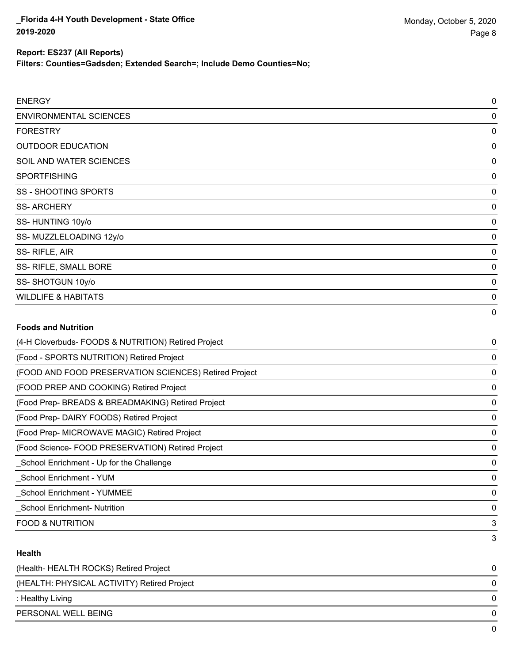**Filters: Counties=Gadsden; Extended Search=; Include Demo Counties=No;**

| <b>ENERGY</b>                  | 0           |
|--------------------------------|-------------|
| <b>ENVIRONMENTAL SCIENCES</b>  | 0           |
| <b>FORESTRY</b>                | 0           |
| <b>OUTDOOR EDUCATION</b>       | 0           |
| SOIL AND WATER SCIENCES        | 0           |
| <b>SPORTFISHING</b>            | 0           |
| SS - SHOOTING SPORTS           | 0           |
| <b>SS-ARCHERY</b>              | 0           |
| SS-HUNTING 10y/o               | 0           |
| SS-MUZZLELOADING 12y/o         | 0           |
| SS-RIFLE, AIR                  | $\mathbf 0$ |
| SS- RIFLE, SMALL BORE          | 0           |
| SS-SHOTGUN 10y/o               | 0           |
| <b>WILDLIFE &amp; HABITATS</b> | $\mathbf 0$ |
| <b>Foods and Nutrition</b>     | 0           |

| (4-H Cloverbuds- FOODS & NUTRITION) Retired Project   | 0 |
|-------------------------------------------------------|---|
| (Food - SPORTS NUTRITION) Retired Project             | 0 |
| (FOOD AND FOOD PRESERVATION SCIENCES) Retired Project | 0 |
| (FOOD PREP AND COOKING) Retired Project               | 0 |
| (Food Prep- BREADS & BREADMAKING) Retired Project     | 0 |
| (Food Prep-DAIRY FOODS) Retired Project               | 0 |
| (Food Prep- MICROWAVE MAGIC) Retired Project          | 0 |
| (Food Science-FOOD PRESERVATION) Retired Project      | 0 |
| School Enrichment - Up for the Challenge              | 0 |
| School Enrichment - YUM                               | 0 |
| <b>School Enrichment - YUMMEE</b>                     | 0 |
| <b>School Enrichment- Nutrition</b>                   | 0 |
| <b>FOOD &amp; NUTRITION</b>                           | 3 |
|                                                       | 3 |

#### **Health**

| (Health- HEALTH ROCKS) Retired Project      |   |
|---------------------------------------------|---|
| (HEALTH: PHYSICAL ACTIVITY) Retired Project | 0 |
| : Healthy Living                            | 0 |
| PERSONAL WELL BEING                         |   |
|                                             |   |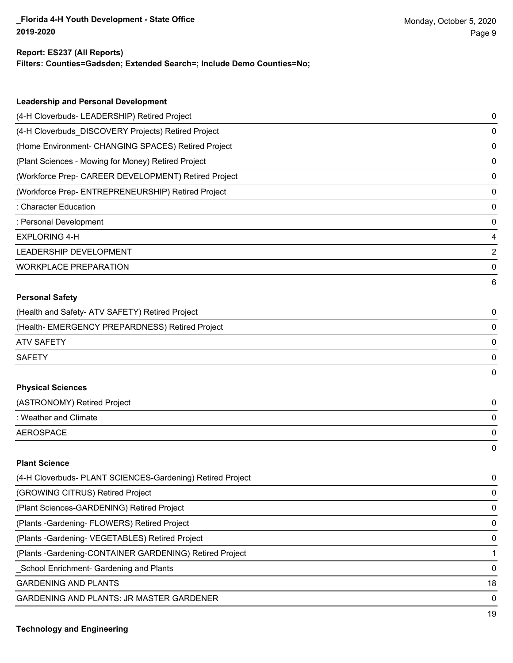#### **Report: ES237 (All Reports)**

**Filters: Counties=Gadsden; Extended Search=; Include Demo Counties=No;**

| <b>Leadership and Personal Development</b>                 |   |
|------------------------------------------------------------|---|
| (4-H Cloverbuds- LEADERSHIP) Retired Project               | 0 |
| (4-H Cloverbuds DISCOVERY Projects) Retired Project        | 0 |
| (Home Environment- CHANGING SPACES) Retired Project        | 0 |
| (Plant Sciences - Mowing for Money) Retired Project        | 0 |
| (Workforce Prep- CAREER DEVELOPMENT) Retired Project       | 0 |
| (Workforce Prep- ENTREPRENEURSHIP) Retired Project         | 0 |
| : Character Education                                      | 0 |
| : Personal Development                                     | 0 |
| <b>EXPLORING 4-H</b>                                       | 4 |
| LEADERSHIP DEVELOPMENT                                     | 2 |
| <b>WORKPLACE PREPARATION</b>                               | 0 |
|                                                            | 6 |
| <b>Personal Safety</b>                                     |   |
| (Health and Safety- ATV SAFETY) Retired Project            | 0 |
| (Health- EMERGENCY PREPARDNESS) Retired Project            | 0 |
| <b>ATV SAFETY</b>                                          | 0 |
| <b>SAFETY</b>                                              | 0 |
|                                                            | 0 |
| <b>Physical Sciences</b>                                   |   |
| (ASTRONOMY) Retired Project                                | 0 |
| : Weather and Climate                                      | 0 |
| <b>AEROSPACE</b>                                           | 0 |
|                                                            | 0 |
| <b>Plant Science</b>                                       |   |
| (4-H Cloverbuds- PLANT SCIENCES-Gardening) Retired Project | 0 |
| (GROWING CITRUS) Retired Project                           | 0 |
| (Plant Sciences-GARDENING) Retired Project                 | 0 |
| (Plants - Gardening - FLOWERS) Retired Project             | 0 |

(Plants -Gardening- VEGETABLES) Retired Project 0

(Plants -Gardening-CONTAINER GARDENING) Retired Project 1

\_School Enrichment- Gardening and Plants 0

GARDENING AND PLANTS 18

GARDENING AND PLANTS: JR MASTER GARDENER 0